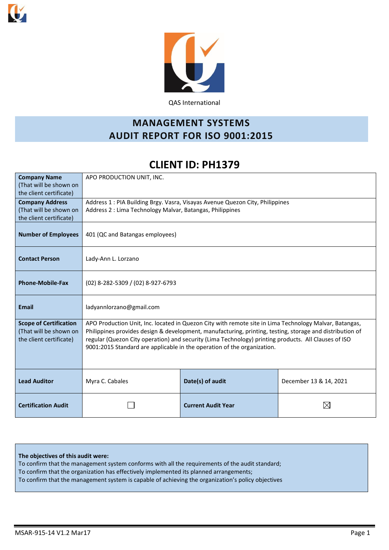



QAS International

# **MANAGEMENT SYSTEMS AUDIT REPORT FOR ISO 9001:2015**

# **CLIENT ID: PH1379**

| <b>Company Name</b><br>(That will be shown on<br>the client certificate)           | APO PRODUCTION UNIT, INC.                                                                                                                                                                                                                                                                                                                                                                             |                                                                                                                                            |                        |  |  |  |  |  |  |  |  |
|------------------------------------------------------------------------------------|-------------------------------------------------------------------------------------------------------------------------------------------------------------------------------------------------------------------------------------------------------------------------------------------------------------------------------------------------------------------------------------------------------|--------------------------------------------------------------------------------------------------------------------------------------------|------------------------|--|--|--|--|--|--|--|--|
| <b>Company Address</b><br>(That will be shown on<br>the client certificate)        |                                                                                                                                                                                                                                                                                                                                                                                                       | Address 1 : PIA Building Brgy. Vasra, Visayas Avenue Quezon City, Philippines<br>Address 2 : Lima Technology Malvar, Batangas, Philippines |                        |  |  |  |  |  |  |  |  |
| <b>Number of Employees</b>                                                         | 401 (QC and Batangas employees)                                                                                                                                                                                                                                                                                                                                                                       |                                                                                                                                            |                        |  |  |  |  |  |  |  |  |
| <b>Contact Person</b>                                                              | Lady-Ann L. Lorzano                                                                                                                                                                                                                                                                                                                                                                                   |                                                                                                                                            |                        |  |  |  |  |  |  |  |  |
| <b>Phone-Mobile-Fax</b>                                                            | (02) 8-282-5309 / (02) 8-927-6793                                                                                                                                                                                                                                                                                                                                                                     |                                                                                                                                            |                        |  |  |  |  |  |  |  |  |
| <b>Email</b>                                                                       | ladyannlorzano@gmail.com                                                                                                                                                                                                                                                                                                                                                                              |                                                                                                                                            |                        |  |  |  |  |  |  |  |  |
| <b>Scope of Certification</b><br>(That will be shown on<br>the client certificate) | APO Production Unit, Inc. located in Quezon City with remote site in Lima Technology Malvar, Batangas,<br>Philippines provides design & development, manufacturing, printing, testing, storage and distribution of<br>regular (Quezon City operation) and security (Lima Technology) printing products. All Clauses of ISO<br>9001:2015 Standard are applicable in the operation of the organization. |                                                                                                                                            |                        |  |  |  |  |  |  |  |  |
| <b>Lead Auditor</b>                                                                | Myra C. Cabales                                                                                                                                                                                                                                                                                                                                                                                       | Date(s) of audit                                                                                                                           | December 13 & 14, 2021 |  |  |  |  |  |  |  |  |
| <b>Certification Audit</b>                                                         |                                                                                                                                                                                                                                                                                                                                                                                                       | <b>Current Audit Year</b>                                                                                                                  | ⋉                      |  |  |  |  |  |  |  |  |

**The objectives of this audit were:** To confirm that the management system conforms with all the requirements of the audit standard; To confirm that the organization has effectively implemented its planned arrangements; To confirm that the management system is capable of achieving the organization's policy objectives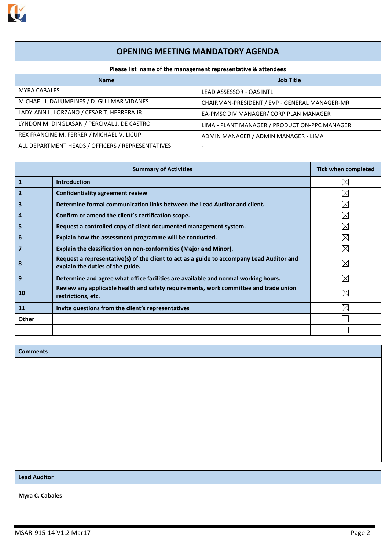

# **OPENING MEETING MANDATORY AGENDA**

| Please list name of the management representative & attendees |                                               |  |  |  |  |  |  |  |
|---------------------------------------------------------------|-----------------------------------------------|--|--|--|--|--|--|--|
| <b>Name</b>                                                   | <b>Job Title</b>                              |  |  |  |  |  |  |  |
| <b>MYRA CABALES</b>                                           | LEAD ASSESSOR - QAS INTL                      |  |  |  |  |  |  |  |
| MICHAEL J. DALUMPINES / D. GUILMAR VIDANES                    | CHAIRMAN-PRESIDENT / EVP - GENERAL MANAGER-MR |  |  |  |  |  |  |  |
| LADY-ANN L. LORZANO / CESAR T. HERRERA JR.                    | EA-PMSC DIV MANAGER/ CORP PLAN MANAGER        |  |  |  |  |  |  |  |
| LYNDON M. DINGLASAN / PERCIVAL J. DE CASTRO                   | LIMA - PLANT MANAGER / PRODUCTION-PPC MANAGER |  |  |  |  |  |  |  |
| REX FRANCINE M. FERRER / MICHAEL V. LICUP                     | ADMIN MANAGER / ADMIN MANAGER - LIMA          |  |  |  |  |  |  |  |
| ALL DEPARTMENT HEADS / OFFICERS / REPRESENTATIVES             | ٠                                             |  |  |  |  |  |  |  |

|              | <b>Summary of Activities</b>                                                                                                  | <b>Tick when completed</b> |
|--------------|-------------------------------------------------------------------------------------------------------------------------------|----------------------------|
| 1            | <b>Introduction</b>                                                                                                           | $\boxtimes$                |
| 2            | <b>Confidentiality agreement review</b>                                                                                       | $\boxtimes$                |
| З            | Determine formal communication links between the Lead Auditor and client.                                                     | $\boxtimes$                |
| 4            | Confirm or amend the client's certification scope.                                                                            | $\boxtimes$                |
| 5            | Request a controlled copy of client documented management system.                                                             | $\boxtimes$                |
| 6            | Explain how the assessment programme will be conducted.                                                                       | $\boxtimes$                |
| 7            | Explain the classification on non-conformities (Major and Minor).                                                             | ⊠                          |
| 8            | Request a representative(s) of the client to act as a guide to accompany Lead Auditor and<br>explain the duties of the guide. | $\boxtimes$                |
| 9            | Determine and agree what office facilities are available and normal working hours.                                            | $\boxtimes$                |
| 10           | Review any applicable health and safety requirements, work committee and trade union<br>restrictions, etc.                    | $\boxtimes$                |
| 11           | Invite questions from the client's representatives                                                                            | $\boxtimes$                |
| <b>Other</b> |                                                                                                                               |                            |
|              |                                                                                                                               |                            |

#### **Comments**

## **Lead Auditor**

**Myra C. Cabales**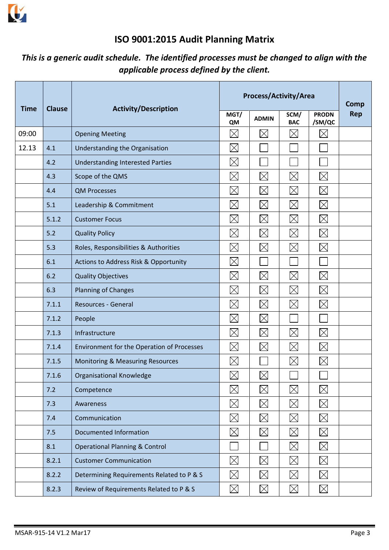

# **ISO 9001:2015 Audit Planning Matrix**

# *This is a generic audit schedule. The identified processes must be changed to align with the applicable process defined by the client.*

| <b>Time</b> | <b>Clause</b> | <b>Activity/Description</b>                 |                   | Process/Activity/Area |                    |                          | Comp       |
|-------------|---------------|---------------------------------------------|-------------------|-----------------------|--------------------|--------------------------|------------|
|             |               |                                             | MGT/<br><b>QM</b> | <b>ADMIN</b>          | SCM/<br><b>BAC</b> | <b>PRODN</b><br>/SM/QC   | <b>Rep</b> |
| 09:00       |               | <b>Opening Meeting</b>                      | $\boxtimes$       | $\boxtimes$           | $\boxtimes$        | $\boxtimes$              |            |
| 12.13       | 4.1           | Understanding the Organisation              | $\boxtimes$       |                       |                    |                          |            |
|             | 4.2           | <b>Understanding Interested Parties</b>     | $\boxtimes$       |                       |                    |                          |            |
|             | 4.3           | Scope of the QMS                            | $\boxtimes$       | $\boxtimes$           | $\boxtimes$        | $\boxtimes$              |            |
|             | 4.4           | <b>QM Processes</b>                         | $\boxtimes$       | $\boxtimes$           | $\boxtimes$        | $\boxtimes$              |            |
|             | 5.1           | Leadership & Commitment                     | $\boxtimes$       | $\boxtimes$           | $\boxtimes$        | $\boxtimes$              |            |
|             | 5.1.2         | <b>Customer Focus</b>                       | $\boxtimes$       | $\boxtimes$           | $\boxtimes$        | $\boxtimes$              |            |
|             | 5.2           | <b>Quality Policy</b>                       | $\boxtimes$       | $\boxtimes$           | $\boxtimes$        | $\boxtimes$              |            |
|             | 5.3           | Roles, Responsibilities & Authorities       | $\boxtimes$       | $\boxtimes$           | $\boxtimes$        | $\boxtimes$              |            |
|             | 6.1           | Actions to Address Risk & Opportunity       | $\boxtimes$       |                       |                    |                          |            |
|             | 6.2           | <b>Quality Objectives</b>                   | $\boxtimes$       | $\boxtimes$           | $\boxtimes$        | $\boxtimes$              |            |
|             | 6.3           | Planning of Changes                         | $\boxtimes$       | $\boxtimes$           | $\boxtimes$        | $\boxtimes$              |            |
|             | 7.1.1         | Resources - General                         | $\boxtimes$       | $\boxtimes$           | $\boxtimes$        | $\boxtimes$              |            |
|             | 7.1.2         | People                                      | $\boxtimes$       | $\boxtimes$           |                    |                          |            |
|             | 7.1.3         | Infrastructure                              | $\boxtimes$       | $\boxtimes$           | $\boxtimes$        | $\boxtimes$              |            |
|             | 7.1.4         | Environment for the Operation of Processes  | $\boxtimes$       | $\boxtimes$           | $\boxtimes$        | $\boxtimes$              |            |
|             | 7.1.5         | <b>Monitoring &amp; Measuring Resources</b> | $\boxtimes$       |                       | $\times$           | $\boxtimes$              |            |
|             | 7.1.6         | Organisational Knowledge                    | $\boxtimes$       | $\boxtimes$           |                    | $\overline{\phantom{0}}$ |            |
|             | 7.2           | Competence                                  | $\boxtimes$       | $\boxtimes$           | $\boxtimes$        | $\boxtimes$              |            |
|             | 7.3           | Awareness                                   | $\boxtimes$       | $\boxtimes$           | $\boxtimes$        | $\boxtimes$              |            |
|             | 7.4           | Communication                               | $\boxtimes$       | $\boxtimes$           | $\boxtimes$        | $\boxtimes$              |            |
|             | 7.5           | Documented Information                      | $\boxtimes$       | $\boxtimes$           | $\boxtimes$        | $\boxtimes$              |            |
|             | 8.1           | <b>Operational Planning &amp; Control</b>   |                   |                       | $\boxtimes$        | $\boxtimes$              |            |
|             | 8.2.1         | <b>Customer Communication</b>               | $\boxtimes$       | $\boxtimes$           | $\boxtimes$        | $\boxtimes$              |            |
|             | 8.2.2         | Determining Requirements Related to P & S   | $\boxtimes$       | $\boxtimes$           | $\boxtimes$        | $\boxtimes$              |            |
|             | 8.2.3         | Review of Requirements Related to P & S     | $\boxtimes$       | $\boxtimes$           | $\boxtimes$        | $\boxtimes$              |            |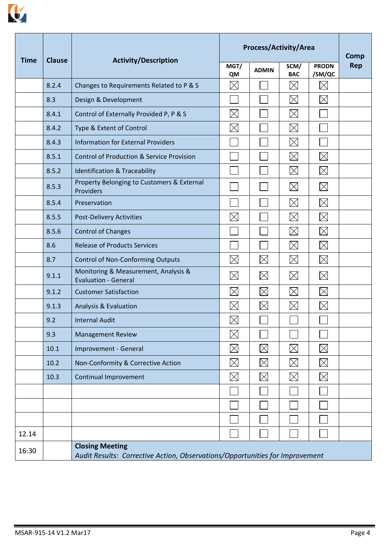

|             |               |                                                                                                        |             | Process/Activity/Area |                    |                        | <b>Comp</b> |
|-------------|---------------|--------------------------------------------------------------------------------------------------------|-------------|-----------------------|--------------------|------------------------|-------------|
| <b>Time</b> | <b>Clause</b> | <b>Activity/Description</b>                                                                            | MGT/<br>QM  | <b>ADMIN</b>          | SCM/<br><b>BAC</b> | <b>PRODN</b><br>/SM/QC | <b>Rep</b>  |
|             | 8.2.4         | Changes to Requirements Related to P & S                                                               | $\boxtimes$ |                       | $\boxtimes$        | $\boxtimes$            |             |
|             | 8.3           | Design & Development                                                                                   |             |                       | $\boxtimes$        | $\boxtimes$            |             |
|             | 8.4.1         | Control of Externally Provided P, P & S                                                                | $\boxtimes$ |                       | $\boxtimes$        |                        |             |
|             | 8.4.2         | Type & Extent of Control                                                                               | $\boxtimes$ |                       | $\boxtimes$        |                        |             |
|             | 8.4.3         | <b>Information for External Providers</b>                                                              |             |                       | $\boxtimes$        |                        |             |
|             | 8.5.1         | <b>Control of Production &amp; Service Provision</b>                                                   |             |                       | $\boxtimes$        | $\boxtimes$            |             |
|             | 8.5.2         | <b>Identification &amp; Traceability</b>                                                               |             |                       | $\boxtimes$        | $\boxtimes$            |             |
|             | 8.5.3         | Property Belonging to Customers & External<br>Providers                                                |             |                       | $\boxtimes$        | $\boxtimes$            |             |
|             | 8.5.4         | Preservation                                                                                           |             |                       | $\boxtimes$        | $\boxtimes$            |             |
|             | 8.5.5         | <b>Post-Delivery Activities</b>                                                                        | $\times$    |                       | $\boxtimes$        | $\boxtimes$            |             |
|             | 8.5.6         | <b>Control of Changes</b>                                                                              |             |                       | $\boxtimes$        | $\boxtimes$            |             |
|             | 8.6           | <b>Release of Products Services</b>                                                                    |             |                       | $\boxtimes$        | $\boxtimes$            |             |
|             | 8.7           | <b>Control of Non-Conforming Outputs</b>                                                               | $\boxtimes$ | $\boxtimes$           | $\boxtimes$        | $\boxtimes$            |             |
|             | 9.1.1         | Monitoring & Measurement, Analysis &<br><b>Evaluation - General</b>                                    | $\boxtimes$ | $\boxtimes$           | $\boxtimes$        | $\boxtimes$            |             |
|             | 9.1.2         | <b>Customer Satisfaction</b>                                                                           | $\boxtimes$ | $\boxtimes$           | $\boxtimes$        | $\boxtimes$            |             |
|             | 9.1.3         | <b>Analysis &amp; Evaluation</b>                                                                       | $\boxtimes$ | $\boxtimes$           | $\boxtimes$        | $\boxtimes$            |             |
|             | 9.2           | <b>Internal Audit</b>                                                                                  | $\boxtimes$ |                       |                    |                        |             |
|             | 9.3           | <b>Management Review</b>                                                                               | $\boxtimes$ |                       |                    |                        |             |
|             | 10.1          | Improvement - General                                                                                  | $\boxtimes$ | $\boxtimes$           | $\boxtimes$        | $\boxtimes$            |             |
|             | 10.2          | Non-Conformity & Corrective Action                                                                     | $\boxtimes$ | $\boxtimes$           | $\boxtimes$        | $\boxtimes$            |             |
|             | 10.3          | <b>Continual Improvement</b>                                                                           | $\boxtimes$ | $\boxtimes$           | $\boxtimes$        | $\boxtimes$            |             |
|             |               |                                                                                                        |             |                       |                    |                        |             |
|             |               |                                                                                                        |             |                       |                    |                        |             |
|             |               |                                                                                                        |             |                       |                    |                        |             |
| 12.14       |               |                                                                                                        |             |                       |                    |                        |             |
| 16:30       |               | <b>Closing Meeting</b><br>Audit Results: Corrective Action, Observations/Opportunities for Improvement |             |                       |                    |                        |             |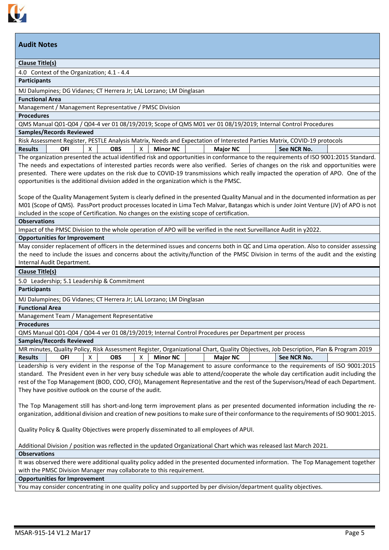

## **Clause Title(s)**

4.0 Context of the Organization; 4.1 - 4.4

#### **Participants**

MJ Dalumpines; DG Vidanes; CT Herrera Jr; LAL Lorzano; LM Dinglasan

## **Functional Area**

Management / Management Representative / PMSC Division

#### **Procedures**

QMS Manual Q01-Q04 / Q04-4 ver 01 08/19/2019; Scope of QMS M01 ver 01 08/19/2019; Internal Control Procedures

# **Samples/Records Reviewed**

Risk Assessment Register, PESTLE Analysis Matrix, Needs and Expectation of Interested Parties Matrix, COVID-19 protocols **Results OFI**  $\overline{X}$  **OBS**  $\overline{X}$  **Minor NC Major NC See NCR No.** 

The organization presented the actual identified risk and opportunities in conformance to the requirements of ISO 9001:2015 Standard. The needs and expectations of interested parties records were also verified. Series of changes on the risk and opportunities were presented. There were updates on the risk due to COVID-19 transmissions which really impacted the operation of APO. One of the opportunities is the additional division added in the organization which is the PMSC.

Scope of the Quality Management System is clearly defined in the presented Quality Manual and in the documented information as per M01 (Scope of QMS). PassPort product processes located in Lima Tech Malvar, Batangas which is under Joint Venture (JV) of APO is not included in the scope of Certification. No changes on the existing scope of certification.

#### **Observations**

Impact of the PMSC Division to the whole operation of APO will be verified in the next Surveillance Audit in y2022.

#### **Opportunities for Improvement**

May consider replacement of officers in the determined issues and concerns both in QC and Lima operation. Also to consider assessing the need to include the issues and concerns about the activity/function of the PMSC Division in terms of the audit and the existing Internal Audit Department.

#### **Clause Title(s)**

5.0 Leadership; 5.1 Leadership & Commitment

## **Participants**

MJ Dalumpines; DG Vidanes; CT Herrera Jr; LAL Lorzano; LM Dinglasan

#### **Functional Area**

Management Team / Management Representative

#### **Procedures**

QMS Manual Q01-Q04 / Q04-4 ver 01 08/19/2019; Internal Control Procedures per Department per process

## **Samples/Records Reviewed**

| MR minutes, Quality Policy, Risk Assessment Register, Organizational Chart, Quality Objectives, Job Description, Plan & Program 2019 |     |  |            |  |                 |  |                 |  |             |  |
|--------------------------------------------------------------------------------------------------------------------------------------|-----|--|------------|--|-----------------|--|-----------------|--|-------------|--|
| <b>Results</b>                                                                                                                       | OFI |  | <b>OBS</b> |  | <b>Minor NC</b> |  | <b>Major NC</b> |  | See NCR No. |  |

Leadership is very evident in the response of the Top Management to assure conformance to the requirements of ISO 9001:2015 standard. The President even in her very busy schedule was able to attend/cooperate the whole day certification audit including the rest of the Top Management (BOD, COO, CFO), Management Representative and the rest of the Supervisors/Head of each Department. They have positive outlook on the course of the audit.

The Top Management still has short-and-long term improvement plans as per presented documented information including the reorganization, additional division and creation of new positions to make sure of their conformance to the requirements of ISO 9001:2015.

Quality Policy & Quality Objectives were properly disseminated to all employees of APUI.

Additional Division / position was reflected in the updated Organizational Chart which was released last March 2021.

### **Observations**

It was observed there were additional quality policy added in the presented documented information. The Top Management together with the PMSC Division Manager may collaborate to this requirement.

# **Opportunities for Improvement**

You may consider concentrating in one quality policy and supported by per division/department quality objectives.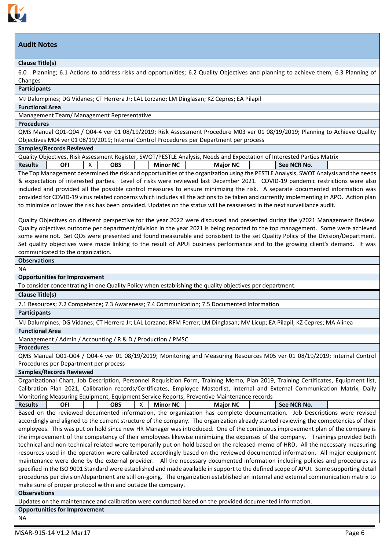

## **Clause Title(s)**

6.0 Planning; 6.1 Actions to address risks and opportunities; 6.2 Quality Objectives and planning to achieve them; 6.3 Planning of Changes

#### **Participants**

#### MJ Dalumpines; DG Vidanes; CT Herrera Jr; LAL Lorzano; LM Dinglasan; KZ Cepres; EA Pilapil

**Functional Area**

#### Management Team/ Management Representative

#### **Procedures**

QMS Manual Q01-Q04 / Q04-4 ver 01 08/19/2019; Risk Assessment Procedure M03 ver 01 08/19/2019; Planning to Achieve Quality Objectives M04 ver 01 08/19/2019; Internal Control Procedures per Department per process

#### **Samples/Records Reviewed**

|                | Quality Objectives, Risk Assessment Register, SWOT/PESTLE Analysis, Needs and Expectation of Interested Parties Matrix |  |            |  |                 |  |                 |  |             |  |
|----------------|------------------------------------------------------------------------------------------------------------------------|--|------------|--|-----------------|--|-----------------|--|-------------|--|
| <b>Results</b> | OFI                                                                                                                    |  | <b>OBS</b> |  | <b>Minor NC</b> |  | <b>Major NC</b> |  | See NCR No. |  |
|                |                                                                                                                        |  |            |  |                 |  |                 |  |             |  |

The Top Management determined the risk and opportunities of the organization using the PESTLE Analysis, SWOT Analysis and the needs & expectation of interested parties. Level of risks were reviewed last December 2021. COVID-19 pandemic restrictions were also included and provided all the possible control measures to ensure minimizing the risk. A separate documented information was provided for COVID-19 virus related concerns which includes all the actions to be taken and currently implementing in APO. Action plan to minimize or lower the risk has been provided. Updates on the status will be reassessed in the next surveillance audit.

Quality Objectives on different perspective for the year 2022 were discussed and presented during the y2021 Management Review. Quality objectives outcome per department/division in the year 2021 is being reported to the top management. Some were achieved some were not. Set QOs were presented and found measurable and consistent to the set Quality Policy of the Division/Department. Set quality objectives were made linking to the result of APUI business performance and to the growing client's demand. It was communicated to the organization.

# **Observations**

# NA

## **Opportunities for Improvement**

To consider concentrating in one Quality Policy when establishing the quality objectives per department.

## **Clause Title(s)**

7.1 Resources; 7.2 Competence; 7.3 Awareness; 7.4 Communication; 7.5 Documented Information

## **Participants**

MJ Dalumpines; DG Vidanes; CT Herrera Jr; LAL Lorzano; RFM Ferrer; LM Dinglasan; MV Licup; EA Pilapil; KZ Cepres; MA Alinea

## **Functional Area**

Management / Admin / Accounting / R & D / Production / PMSC

#### **Procedures**

QMS Manual Q01-Q04 / Q04-4 ver 01 08/19/2019; Monitoring and Measuring Resources M05 ver 01 08/19/2019; Internal Control Procedures per Department per process

#### **Samples/Records Reviewed**

Organizational Chart, Job Description, Personnel Requisition Form, Training Memo, Plan 2019, Training Certificates, Equipment list, Calibration Plan 2021, Calibration records/Certificates, Employee Masterlist, Internal and External Communication Matrix, Daily Monitoring Measuring Equipment, Equipment Service Reports, Preventive Maintenance records

| <b>Results</b> | ΩFΙ | OBS | Λ | <b>Minor NC</b> |  | <b>Major NC</b> |  | See NCR No. |
|----------------|-----|-----|---|-----------------|--|-----------------|--|-------------|
|----------------|-----|-----|---|-----------------|--|-----------------|--|-------------|

Based on the reviewed documented information, the organization has complete documentation. Job Descriptions were revised accordingly and aligned to the current structure of the company. The organization already started reviewing the competencies of their employees. This was put on hold since new HR Manager was introduced. One of the continuous improvement plan of the company is the improvement of the competency of their employees likewise minimizing the expenses of the company. Trainings provided both technical and non-technical related were temporarily put on hold based on the released memo of HRD. All the necessary measuring resources used in the operation were calibrated accordingly based on the reviewed documented information. All major equipment maintenance were done by the external provider. All the necessary documented information including policies and procedures as specified in the ISO 9001 Standard were established and made available in support to the defined scope of APUI. Some supporting detail procedures per division/department are still on-going. The organization established an internal and external communication matrix to make sure of proper protocol within and outside the company.

#### **Observations**

Updates on the maintenance and calibration were conducted based on the provided documented information.

**Opportunities for Improvement**

NA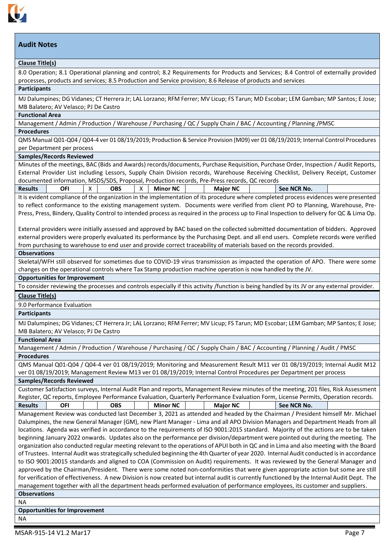

## **Clause Title(s)**

8.0 Operation; 8.1 Operational planning and control; 8.2 Requirements for Products and Services; 8.4 Control of externally provided processes, products and services; 8.5 Production and Service provision; 8.6 Release of products and services

### **Participants**

MJ Dalumpines; DG Vidanes; CT Herrera Jr; LAL Lorzano; RFM Ferrer; MV Licup; FS Tarun; MD Escobar; LEM Gamban; MP Santos; E Jose; MB Balatero; AV Velasco; PJ De Castro

### **Functional Area**

Management / Admin / Production / Warehouse / Purchasing / QC / Supply Chain / BAC / Accounting / Planning /PMSC

#### **Procedures**

QMS Manual Q01-Q04 / Q04-4 ver 01 08/19/2019; Production & Service Provision (M09) ver 01 08/19/2019; Internal Control Procedures per Department per process

#### **Samples/Records Reviewed**

Minutes of the meetings, BAC (Bids and Awards) records/documents, Purchase Requisition, Purchase Order, Inspection / Audit Reports, External Provider List including Lessors, Supply Chain Division records, Warehouse Receiving Checklist, Delivery Receipt, Customer documented information, MSDS/SDS, Proposal, Production records, Pre-Press records, QC records

|--|

It is evident compliance of the organization in the implementation of its procedure where completed process evidences were presented to reflect conformance to the existing management system. Documents were verified from client PO to Planning, Warehouse, Pre-Press, Press, Bindery, Quality Control to intended process as required in the process up to Final Inspection to delivery for QC & Lima Op.

External providers were initially assessed and approved by BAC based on the collected submitted documentation of bidders. Approved external providers were properly evaluated its performance by the Purchasing Dept. and all end users. Complete records were verified from purchasing to warehouse to end user and provide correct traceability of materials based on the records provided.

## **Observations**

Skeletal/WFH still observed for sometimes due to COVID-19 virus transmission as impacted the operation of APO. There were some changes on the operational controls where Tax Stamp production machine operation is now handled by the JV.

## **Opportunities for Improvement**

To consider reviewing the processes and controls especially if this activity /function is being handled by its JV or any external provider. **Clause Title(s)**

9.0 Performance Evaluation

### **Participants**

MJ Dalumpines; DG Vidanes; CT Herrera Jr; LAL Lorzano; RFM Ferrer; MV Licup; FS Tarun; MD Escobar; LEM Gamban; MP Santos; E Jose; MB Balatero; AV Velasco; PJ De Castro

### **Functional Area**

Management / Admin / Production / Warehouse / Purchasing / QC / Supply Chain / BAC / Accounting / Planning / Audit / PMSC **Procedures**

QMS Manual Q01-Q04 / Q04-4 ver 01 08/19/2019; Monitoring and Measurement Result M11 ver 01 08/19/2019; Internal Audit M12 ver 01 08/19/2019; Management Review M13 ver 01 08/19/2019; Internal Control Procedures per Department per process

## **Samples/Records Reviewed**

| Customer Satisfaction surveys, Internal Audit Plan and reports, Management Review minutes of the meeting, 201 files, Risk Assessment |                                                                                                                                   |  |     |  |                 |  |                 |  |             |  |
|--------------------------------------------------------------------------------------------------------------------------------------|-----------------------------------------------------------------------------------------------------------------------------------|--|-----|--|-----------------|--|-----------------|--|-------------|--|
|                                                                                                                                      | Register, QC reports, Employee Performance Evaluation, Quarterly Performance Evaluation Form, License Permits, Operation records. |  |     |  |                 |  |                 |  |             |  |
| <b>Results</b>                                                                                                                       | OFI                                                                                                                               |  | OBS |  | <b>Minor NC</b> |  | <b>Major NC</b> |  | See NCR No. |  |

Management Review was conducted last December 3, 2021 as attended and headed by the Chairman / President himself Mr. Michael Dalumpines, the new General Manager (GM), new Plant Manager - Lima and all APO Division Managers and Department Heads from all locations. Agenda was verified in accordance to the requirements of ISO 9001:2015 standard. Majority of the actions are to be taken beginning January 2022 onwards. Updates also on the performance per division/department were pointed out during the meeting. The organization also conducted regular meeting relevant to the operations of APUI both in QC and in Lima and also meeting with the Board of Trustees. Internal Audit was strategically scheduled beginning the 4th Quarter of year 2020. Internal Audit conducted is in accordance to ISO 9001:20015 standards and aligned to COA (Commission on Audit) requirements. It was reviewed by the General Manager and approved by the Chairman/President. There were some noted non-conformities that were given appropriate action but some are still for verification of effectiveness. A new Division is now created but internal audit is currently functioned by the Internal Audit Dept. The management together with all the department heads performed evaluation of performance employees, its customer and suppliers. **Observations**

NA

**Opportunities for Improvement**

NA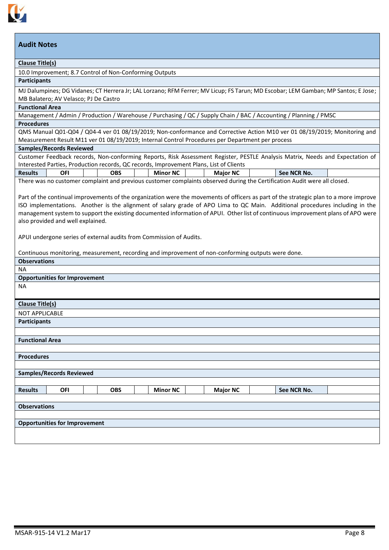

#### **Clause Title(s)**

10.0 Improvement; 8.7 Control of Non-Conforming Outputs

### **Participants**

MJ Dalumpines; DG Vidanes; CT Herrera Jr; LAL Lorzano; RFM Ferrer; MV Licup; FS Tarun; MD Escobar; LEM Gamban; MP Santos; E Jose; MB Balatero; AV Velasco; PJ De Castro

## **Functional Area**

Management / Admin / Production / Warehouse / Purchasing / QC / Supply Chain / BAC / Accounting / Planning / PMSC

#### **Procedures**

QMS Manual Q01-Q04 / Q04-4 ver 01 08/19/2019; Non-conformance and Corrective Action M10 ver 01 08/19/2019; Monitoring and Measurement Result M11 ver 01 08/19/2019; Internal Control Procedures per Department per process

## **Samples/Records Reviewed**

Customer Feedback records, Non-conforming Reports, Risk Assessment Register, PESTLE Analysis Matrix, Needs and Expectation of Interested Parties, Production records, QC records, Improvement Plans, List of Clients

| <b>Results</b>                                                                                                            | OFI |  | OBS |  | <b>Minor NC</b> |  | <b>Major NC</b> |  | See NCR No. |  |
|---------------------------------------------------------------------------------------------------------------------------|-----|--|-----|--|-----------------|--|-----------------|--|-------------|--|
| There was no customer complaint and previous customer complaints observed during the Certification Audit were all closed. |     |  |     |  |                 |  |                 |  |             |  |

Part of the continual improvements of the organization were the movements of officers as part of the strategic plan to a more improve ISO implementations. Another is the alignment of salary grade of APO Lima to QC Main. Additional procedures including in the management system to support the existing documented information of APUI. Other list of continuous improvement plans of APO were also provided and well explained.

APUI undergone series of external audits from Commission of Audits.

Continuous monitoring, measurement, recording and improvement of non-conforming outputs were done.

#### **Observations** NA

# **Opportunities for Improvement**

NA

# **Clause Title(s)**

NOT APPLICABLE

**Participants**

**Functional Area**

|  |  | <b>Procedures</b> |  |
|--|--|-------------------|--|
|  |  |                   |  |

| <b>Procedures</b>   |                                      |            |                 |                 |             |  |
|---------------------|--------------------------------------|------------|-----------------|-----------------|-------------|--|
|                     |                                      |            |                 |                 |             |  |
|                     | <b>Samples/Records Reviewed</b>      |            |                 |                 |             |  |
|                     |                                      |            |                 |                 |             |  |
| <b>Results</b>      | <b>OFI</b>                           | <b>OBS</b> | <b>Minor NC</b> | <b>Major NC</b> | See NCR No. |  |
|                     |                                      |            |                 |                 |             |  |
| <b>Observations</b> |                                      |            |                 |                 |             |  |
|                     |                                      |            |                 |                 |             |  |
|                     | <b>Opportunities for Improvement</b> |            |                 |                 |             |  |
|                     |                                      |            |                 |                 |             |  |
|                     |                                      |            |                 |                 |             |  |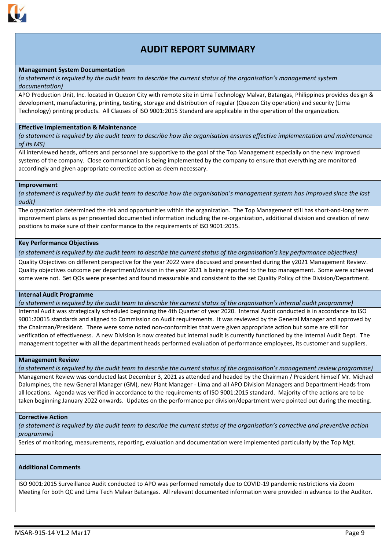

# **AUDIT REPORT SUMMARY**

#### **Management System Documentation**

*(a statement is required by the audit team to describe the current status of the organisation's management system documentation)*

APO Production Unit, Inc. located in Quezon City with remote site in Lima Technology Malvar, Batangas, Philippines provides design & development, manufacturing, printing, testing, storage and distribution of regular (Quezon City operation) and security (Lima Technology) printing products. All Clauses of ISO 9001:2015 Standard are applicable in the operation of the organization.

#### **Effective Implementation & Maintenance**

*(a statement is required by the audit team to describe how the organisation ensures effective implementation and maintenance of its MS)*

All interviewed heads, officers and personnel are supportive to the goal of the Top Management especially on the new improved systems of the company. Close communication is being implemented by the company to ensure that everything are monitored accordingly and given appropriate correctice action as deem necessary.

#### **Improvement**

*(a statement is required by the audit team to describe how the organisation's management system has improved since the last audit)*

The organization determined the risk and opportunities within the organization. The Top Management still has short-and-long term improvement plans as per presented documented information including the re-organization, additional division and creation of new positions to make sure of their conformance to the requirements of ISO 9001:2015.

#### **Key Performance Objectives**

*(a statement is required by the audit team to describe the current status of the organisation's key performance objectives)*

Quality Objectives on different perspective for the year 2022 were discussed and presented during the y2021 Management Review. Quality objectives outcome per department/division in the year 2021 is being reported to the top management. Some were achieved some were not. Set QOs were presented and found measurable and consistent to the set Quality Policy of the Division/Department.

#### **Internal Audit Programme**

*(a statement is required by the audit team to describe the current status of the organisation's internal audit programme)*

Internal Audit was strategically scheduled beginning the 4th Quarter of year 2020. Internal Audit conducted is in accordance to ISO 9001:20015 standards and aligned to Commission on Audit requirements. It was reviewed by the General Manager and approved by the Chairman/President. There were some noted non-conformities that were given appropriate action but some are still for verification of effectiveness. A new Division is now created but internal audit is currently functioned by the Internal Audit Dept. The management together with all the department heads performed evaluation of performance employees, its customer and suppliers.

#### **Management Review**

*(a statement is required by the audit team to describe the current status of the organisation's management review programme)*

Management Review was conducted last December 3, 2021 as attended and headed by the Chairman / President himself Mr. Michael Dalumpines, the new General Manager (GM), new Plant Manager - Lima and all APO Division Managers and Department Heads from all locations. Agenda was verified in accordance to the requirements of ISO 9001:2015 standard. Majority of the actions are to be taken beginning January 2022 onwards. Updates on the performance per division/department were pointed out during the meeting.

#### **Corrective Action**

*(a statement is required by the audit team to describe the current status of the organisation's corrective and preventive action programme)*

Series of monitoring, measurements, reporting, evaluation and documentation were implemented particularly by the Top Mgt.

### **Additional Comments**

ISO 9001:2015 Surveillance Audit conducted to APO was performed remotely due to COVID-19 pandemic restrictions via Zoom Meeting for both QC and Lima Tech Malvar Batangas. All relevant documented information were provided in advance to the Auditor.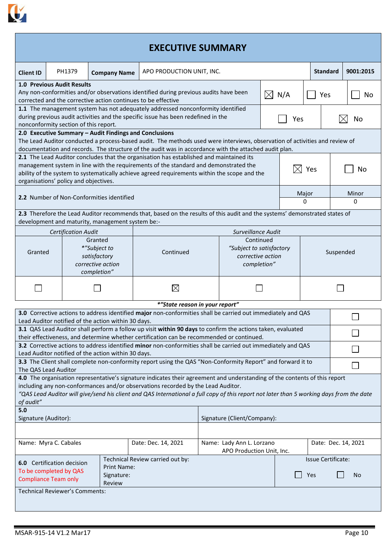

| <b>EXECUTIVE SUMMARY</b>                                                                                                                                                                                                                                                                                                                                                |                                                                                                                                                                                                                                                                                                                                                                                                                                                |                                                                             |                                                                                                                                                                                                          |                                                                           |                    |     |           |                           |  |            |
|-------------------------------------------------------------------------------------------------------------------------------------------------------------------------------------------------------------------------------------------------------------------------------------------------------------------------------------------------------------------------|------------------------------------------------------------------------------------------------------------------------------------------------------------------------------------------------------------------------------------------------------------------------------------------------------------------------------------------------------------------------------------------------------------------------------------------------|-----------------------------------------------------------------------------|----------------------------------------------------------------------------------------------------------------------------------------------------------------------------------------------------------|---------------------------------------------------------------------------|--------------------|-----|-----------|---------------------------|--|------------|
| <b>Client ID</b>                                                                                                                                                                                                                                                                                                                                                        | PH1379<br>APO PRODUCTION UNIT, INC.<br><b>Standard</b><br><b>Company Name</b>                                                                                                                                                                                                                                                                                                                                                                  |                                                                             |                                                                                                                                                                                                          |                                                                           |                    |     | 9001:2015 |                           |  |            |
|                                                                                                                                                                                                                                                                                                                                                                         | 1.0 Previous Audit Results<br>Any non-conformities and/or observations identified during previous audits have been<br>$\boxtimes$ N/A<br>corrected and the corrective action continues to be effective                                                                                                                                                                                                                                         |                                                                             |                                                                                                                                                                                                          |                                                                           |                    | Yes |           | No                        |  |            |
| 1.1 The management system has not adequately addressed nonconformity identified<br>during previous audit activities and the specific issue has been redefined in the<br>Yes                                                                                                                                                                                             |                                                                                                                                                                                                                                                                                                                                                                                                                                                |                                                                             |                                                                                                                                                                                                          |                                                                           |                    |     |           | No                        |  |            |
|                                                                                                                                                                                                                                                                                                                                                                         | nonconformity section of this report.<br>2.0 Executive Summary - Audit Findings and Conclusions<br>The Lead Auditor conducted a process-based audit. The methods used were interviews, observation of activities and review of                                                                                                                                                                                                                 |                                                                             |                                                                                                                                                                                                          |                                                                           |                    |     |           |                           |  |            |
|                                                                                                                                                                                                                                                                                                                                                                         | documentation and records. The structure of the audit was in accordance with the attached audit plan.<br>2.1 The Lead Auditor concludes that the organisation has established and maintained its<br>management system in line with the requirements of the standard and demonstrated the<br>Yes<br>No<br>ability of the system to systematically achieve agreed requirements within the scope and the<br>organisations' policy and objectives. |                                                                             |                                                                                                                                                                                                          |                                                                           |                    |     |           |                           |  |            |
|                                                                                                                                                                                                                                                                                                                                                                         |                                                                                                                                                                                                                                                                                                                                                                                                                                                | 2.2 Number of Non-Conformities identified                                   |                                                                                                                                                                                                          |                                                                           |                    |     |           | Major<br>0                |  | Minor<br>0 |
|                                                                                                                                                                                                                                                                                                                                                                         |                                                                                                                                                                                                                                                                                                                                                                                                                                                | development and maturity, management system be:-                            | 2.3 Therefore the Lead Auditor recommends that, based on the results of this audit and the systems' demonstrated states of                                                                               |                                                                           |                    |     |           |                           |  |            |
|                                                                                                                                                                                                                                                                                                                                                                         | <b>Certification Audit</b>                                                                                                                                                                                                                                                                                                                                                                                                                     |                                                                             |                                                                                                                                                                                                          |                                                                           | Surveillance Audit |     |           |                           |  |            |
| Granted                                                                                                                                                                                                                                                                                                                                                                 |                                                                                                                                                                                                                                                                                                                                                                                                                                                | Granted<br>*"Subject to<br>satisfactory<br>corrective action<br>completion" | Continued                                                                                                                                                                                                | Continued<br>"Subject to satisfactory<br>corrective action<br>completion" |                    |     | Suspended |                           |  |            |
|                                                                                                                                                                                                                                                                                                                                                                         |                                                                                                                                                                                                                                                                                                                                                                                                                                                |                                                                             | $\boxtimes$                                                                                                                                                                                              |                                                                           |                    |     |           |                           |  |            |
|                                                                                                                                                                                                                                                                                                                                                                         |                                                                                                                                                                                                                                                                                                                                                                                                                                                |                                                                             | *"State reason in your report"                                                                                                                                                                           |                                                                           |                    |     |           |                           |  |            |
|                                                                                                                                                                                                                                                                                                                                                                         |                                                                                                                                                                                                                                                                                                                                                                                                                                                | Lead Auditor notified of the action within 30 days.                         | 3.0 Corrective actions to address identified major non-conformities shall be carried out immediately and QAS                                                                                             |                                                                           |                    |     |           |                           |  |            |
|                                                                                                                                                                                                                                                                                                                                                                         |                                                                                                                                                                                                                                                                                                                                                                                                                                                |                                                                             | 3.1 QAS Lead Auditor shall perform a follow up visit within 90 days to confirm the actions taken, evaluated<br>their effectiveness, and determine whether certification can be recommended or continued. |                                                                           |                    |     |           |                           |  |            |
|                                                                                                                                                                                                                                                                                                                                                                         |                                                                                                                                                                                                                                                                                                                                                                                                                                                |                                                                             | 3.2 Corrective actions to address identified minor non-conformities shall be carried out immediately and QAS                                                                                             |                                                                           |                    |     |           |                           |  |            |
|                                                                                                                                                                                                                                                                                                                                                                         | Lead Auditor notified of the action within 30 days.<br>3.3 The Client shall complete non-conformity report using the QAS "Non-Conformity Report" and forward it to<br>The QAS Lead Auditor                                                                                                                                                                                                                                                     |                                                                             |                                                                                                                                                                                                          |                                                                           |                    |     |           |                           |  |            |
| 4.0 The organisation representative's signature indicates their agreement and understanding of the contents of this report<br>including any non-conformances and/or observations recorded by the Lead Auditor.<br>"QAS Lead Auditor will give/send his client and QAS International a full copy of this report not later than 5 working days from the date<br>of audit" |                                                                                                                                                                                                                                                                                                                                                                                                                                                |                                                                             |                                                                                                                                                                                                          |                                                                           |                    |     |           |                           |  |            |
| 5.0<br>Signature (Auditor):<br>Signature (Client/Company):                                                                                                                                                                                                                                                                                                              |                                                                                                                                                                                                                                                                                                                                                                                                                                                |                                                                             |                                                                                                                                                                                                          |                                                                           |                    |     |           |                           |  |            |
|                                                                                                                                                                                                                                                                                                                                                                         |                                                                                                                                                                                                                                                                                                                                                                                                                                                |                                                                             |                                                                                                                                                                                                          |                                                                           |                    |     |           |                           |  |            |
| Name: Myra C. Cabales                                                                                                                                                                                                                                                                                                                                                   |                                                                                                                                                                                                                                                                                                                                                                                                                                                | Date: Dec. 14, 2021                                                         | Name: Lady Ann L. Lorzano<br>APO Production Unit, Inc.                                                                                                                                                   |                                                                           |                    |     |           | Date: Dec. 14, 2021       |  |            |
|                                                                                                                                                                                                                                                                                                                                                                         | Technical Review carried out by:<br><b>6.0</b> Certification decision<br><b>Print Name:</b><br>To be completed by QAS<br>Signature:<br><b>Compliance Team only</b><br>Review                                                                                                                                                                                                                                                                   |                                                                             |                                                                                                                                                                                                          |                                                                           |                    |     |           | Issue Certificate:<br>Yes |  | No         |
| <b>Technical Reviewer's Comments:</b>                                                                                                                                                                                                                                                                                                                                   |                                                                                                                                                                                                                                                                                                                                                                                                                                                |                                                                             |                                                                                                                                                                                                          |                                                                           |                    |     |           |                           |  |            |